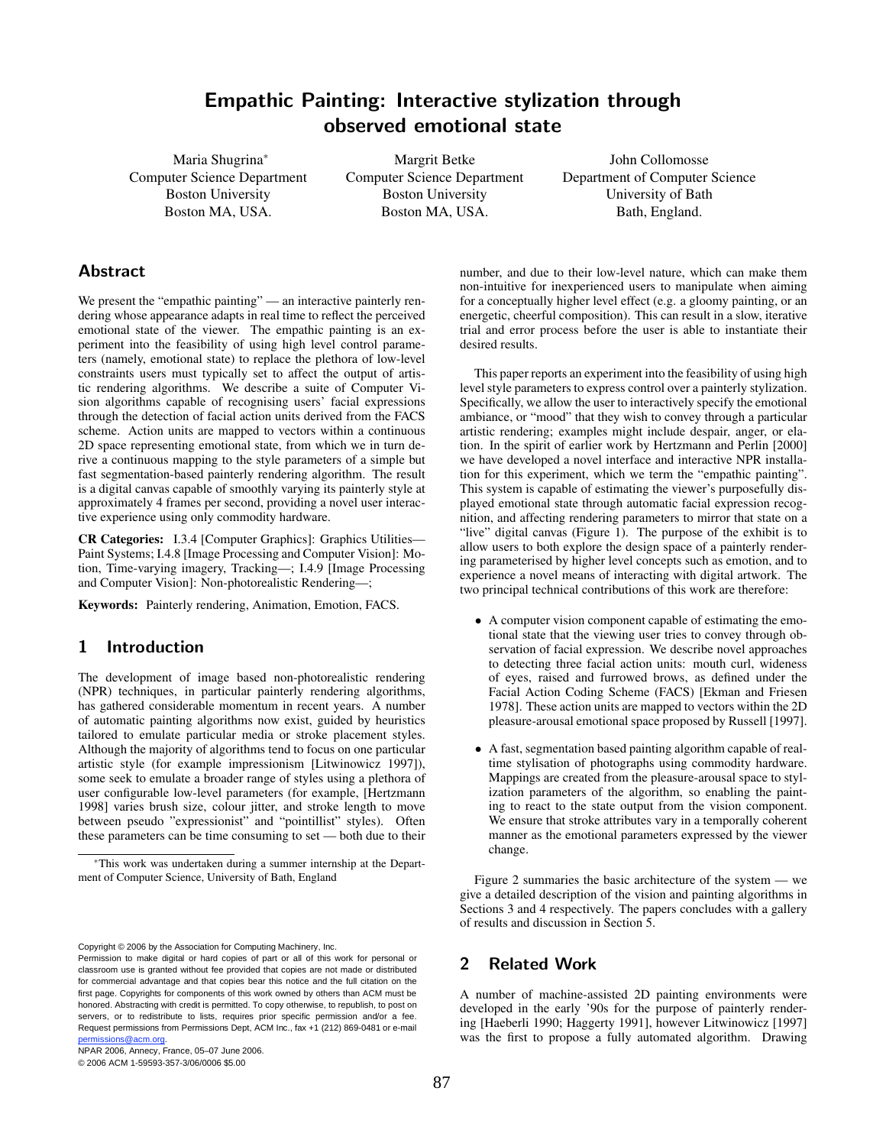# Empathic Painting: Interactive stylization through observed emotional state

Maria Shugrina<sup>∗</sup> Computer Science Department Boston University Boston MA, USA.

Margrit Betke Computer Science Department Boston University Boston MA, USA.

John Collomosse Department of Computer Science University of Bath Bath, England.

## Abstract

We present the "empathic painting" — an interactive painterly rendering whose appearance adapts in real time to reflect the perceived emotional state of the viewer. The empathic painting is an experiment into the feasibility of using high level control parameters (namely, emotional state) to replace the plethora of low-level constraints users must typically set to affect the output of artistic rendering algorithms. We describe a suite of Computer Vision algorithms capable of recognising users' facial expressions through the detection of facial action units derived from the FACS scheme. Action units are mapped to vectors within a continuous 2D space representing emotional state, from which we in turn derive a continuous mapping to the style parameters of a simple but fast segmentation-based painterly rendering algorithm. The result is a digital canvas capable of smoothly varying its painterly style at approximately 4 frames per second, providing a novel user interactive experience using only commodity hardware.

CR Categories: I.3.4 [Computer Graphics]: Graphics Utilities— Paint Systems; I.4.8 [Image Processing and Computer Vision]: Motion, Time-varying imagery, Tracking—; I.4.9 [Image Processing and Computer Vision]: Non-photorealistic Rendering—;

Keywords: Painterly rendering, Animation, Emotion, FACS.

## 1 Introduction

The development of image based non-photorealistic rendering (NPR) techniques, in particular painterly rendering algorithms, has gathered considerable momentum in recent years. A number of automatic painting algorithms now exist, guided by heuristics tailored to emulate particular media or stroke placement styles. Although the majority of algorithms tend to focus on one particular artistic style (for example impressionism [Litwinowicz 1997]), some seek to emulate a broader range of styles using a plethora of user configurable low-level parameters (for example, [Hertzmann 1998] varies brush size, colour jitter, and stroke length to move between pseudo "expressionist" and "pointillist" styles). Often these parameters can be time consuming to set — both due to their

Copyright © 2006 by the Association for Computing Machinery, Inc.

NPAR 2006, Annecy, France, 05–07 June 2006.

© 2006 ACM 1-59593-357-3/06/0006 \$5.00

number, and due to their low-level nature, which can make them non-intuitive for inexperienced users to manipulate when aiming for a conceptually higher level effect (e.g. a gloomy painting, or an energetic, cheerful composition). This can result in a slow, iterative trial and error process before the user is able to instantiate their desired results.

This paper reports an experiment into the feasibility of using high level style parameters to express control over a painterly stylization. Specifically, we allow the user to interactively specify the emotional ambiance, or "mood" that they wish to convey through a particular artistic rendering; examples might include despair, anger, or elation. In the spirit of earlier work by Hertzmann and Perlin [2000] we have developed a novel interface and interactive NPR installation for this experiment, which we term the "empathic painting". This system is capable of estimating the viewer's purposefully displayed emotional state through automatic facial expression recognition, and affecting rendering parameters to mirror that state on a "live" digital canvas (Figure 1). The purpose of the exhibit is to allow users to both explore the design space of a painterly rendering parameterised by higher level concepts such as emotion, and to experience a novel means of interacting with digital artwork. The two principal technical contributions of this work are therefore:

- A computer vision component capable of estimating the emotional state that the viewing user tries to convey through observation of facial expression. We describe novel approaches to detecting three facial action units: mouth curl, wideness of eyes, raised and furrowed brows, as defined under the Facial Action Coding Scheme (FACS) [Ekman and Friesen 1978]. These action units are mapped to vectors within the 2D pleasure-arousal emotional space proposed by Russell [1997].
- A fast, segmentation based painting algorithm capable of realtime stylisation of photographs using commodity hardware. Mappings are created from the pleasure-arousal space to stylization parameters of the algorithm, so enabling the painting to react to the state output from the vision component. We ensure that stroke attributes vary in a temporally coherent manner as the emotional parameters expressed by the viewer change.

Figure 2 summaries the basic architecture of the system — we give a detailed description of the vision and painting algorithms in Sections 3 and 4 respectively. The papers concludes with a gallery of results and discussion in Section 5.

## 2 Related Work

A number of machine-assisted 2D painting environments were developed in the early '90s for the purpose of painterly rendering [Haeberli 1990; Haggerty 1991], however Litwinowicz [1997] was the first to propose a fully automated algorithm. Drawing

<sup>∗</sup>This work was undertaken during a summer internship at the Department of Computer Science, University of Bath, England

Permission to make digital or hard copies of part or all of this work for personal or classroom use is granted without fee provided that copies are not made or distributed for commercial advantage and that copies bear this notice and the full citation on the first page. Copyrights for components of this work owned by others than ACM must be honored. Abstracting with credit is permitted. To copy otherwise, to republish, to post on servers, or to redistribute to lists, requires prior specific permission and/or a fee. Request permissions from Permissions Dept, ACM Inc., fax +1 (212) 869-0481 or e-mail .<br>si<u>ons@acm.org</u>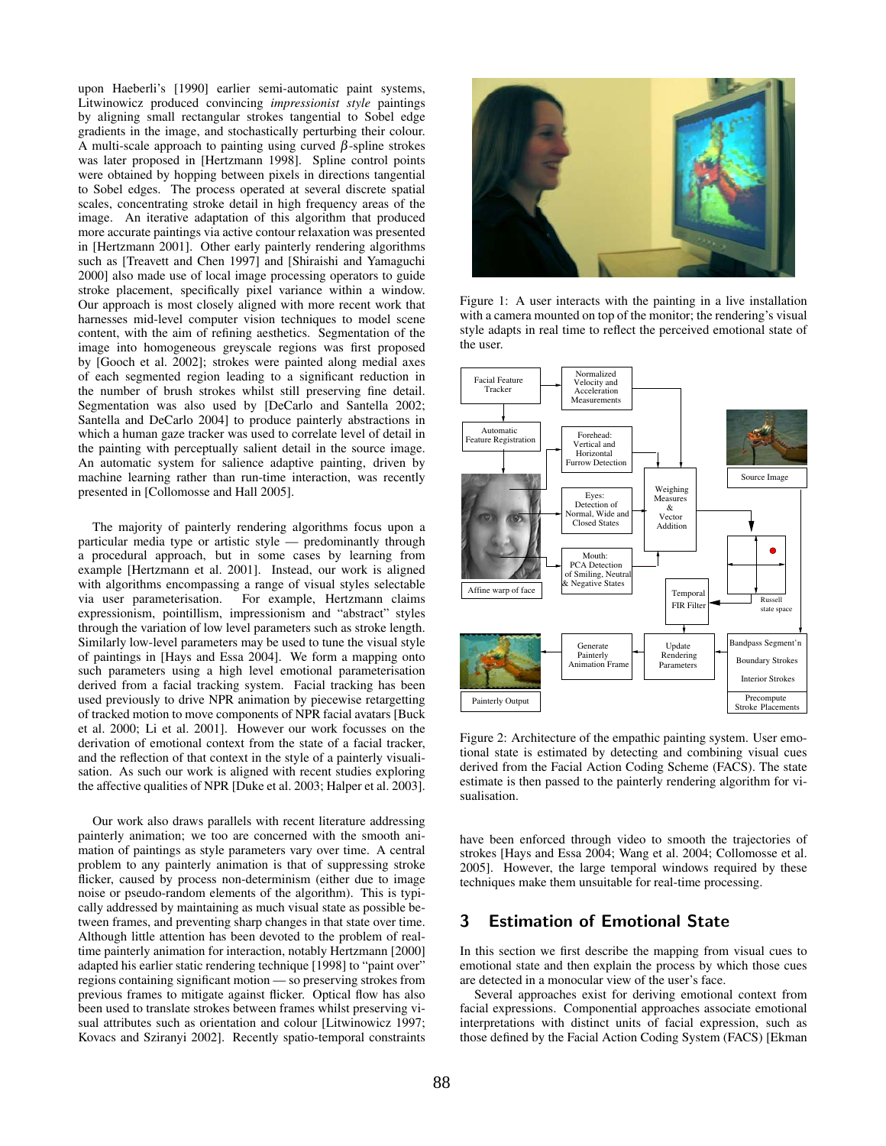upon Haeberli's [1990] earlier semi-automatic paint systems, Litwinowicz produced convincing *impressionist style* paintings by aligning small rectangular strokes tangential to Sobel edge gradients in the image, and stochastically perturbing their colour. A multi-scale approach to painting using curved  $\beta$ -spline strokes was later proposed in [Hertzmann 1998]. Spline control points were obtained by hopping between pixels in directions tangential to Sobel edges. The process operated at several discrete spatial scales, concentrating stroke detail in high frequency areas of the image. An iterative adaptation of this algorithm that produced more accurate paintings via active contour relaxation was presented in [Hertzmann 2001]. Other early painterly rendering algorithms such as [Treavett and Chen 1997] and [Shiraishi and Yamaguchi 2000] also made use of local image processing operators to guide stroke placement, specifically pixel variance within a window. Our approach is most closely aligned with more recent work that harnesses mid-level computer vision techniques to model scene content, with the aim of refining aesthetics. Segmentation of the image into homogeneous greyscale regions was first proposed by [Gooch et al. 2002]; strokes were painted along medial axes of each segmented region leading to a significant reduction in the number of brush strokes whilst still preserving fine detail. Segmentation was also used by [DeCarlo and Santella 2002; Santella and DeCarlo 2004] to produce painterly abstractions in which a human gaze tracker was used to correlate level of detail in the painting with perceptually salient detail in the source image. An automatic system for salience adaptive painting, driven by machine learning rather than run-time interaction, was recently presented in [Collomosse and Hall 2005].

The majority of painterly rendering algorithms focus upon a particular media type or artistic style — predominantly through a procedural approach, but in some cases by learning from example [Hertzmann et al. 2001]. Instead, our work is aligned with algorithms encompassing a range of visual styles selectable via user parameterisation. For example, Hertzmann claims expressionism, pointillism, impressionism and "abstract" styles through the variation of low level parameters such as stroke length. Similarly low-level parameters may be used to tune the visual style of paintings in [Hays and Essa 2004]. We form a mapping onto such parameters using a high level emotional parameterisation derived from a facial tracking system. Facial tracking has been used previously to drive NPR animation by piecewise retargetting of tracked motion to move components of NPR facial avatars [Buck et al. 2000; Li et al. 2001]. However our work focusses on the derivation of emotional context from the state of a facial tracker, and the reflection of that context in the style of a painterly visualisation. As such our work is aligned with recent studies exploring the affective qualities of NPR [Duke et al. 2003; Halper et al. 2003].

Our work also draws parallels with recent literature addressing painterly animation; we too are concerned with the smooth animation of paintings as style parameters vary over time. A central problem to any painterly animation is that of suppressing stroke flicker, caused by process non-determinism (either due to image noise or pseudo-random elements of the algorithm). This is typically addressed by maintaining as much visual state as possible between frames, and preventing sharp changes in that state over time. Although little attention has been devoted to the problem of realtime painterly animation for interaction, notably Hertzmann [2000] adapted his earlier static rendering technique [1998] to "paint over" regions containing significant motion — so preserving strokes from previous frames to mitigate against flicker. Optical flow has also been used to translate strokes between frames whilst preserving visual attributes such as orientation and colour [Litwinowicz 1997; Kovacs and Sziranyi 2002]. Recently spatio-temporal constraints



Figure 1: A user interacts with the painting in a live installation with a camera mounted on top of the monitor; the rendering's visual style adapts in real time to reflect the perceived emotional state of the user.



Figure 2: Architecture of the empathic painting system. User emotional state is estimated by detecting and combining visual cues derived from the Facial Action Coding Scheme (FACS). The state estimate is then passed to the painterly rendering algorithm for visualisation.

have been enforced through video to smooth the trajectories of strokes [Hays and Essa 2004; Wang et al. 2004; Collomosse et al. 2005]. However, the large temporal windows required by these techniques make them unsuitable for real-time processing.

## 3 Estimation of Emotional State

In this section we first describe the mapping from visual cues to emotional state and then explain the process by which those cues are detected in a monocular view of the user's face.

Several approaches exist for deriving emotional context from facial expressions. Componential approaches associate emotional interpretations with distinct units of facial expression, such as those defined by the Facial Action Coding System (FACS) [Ekman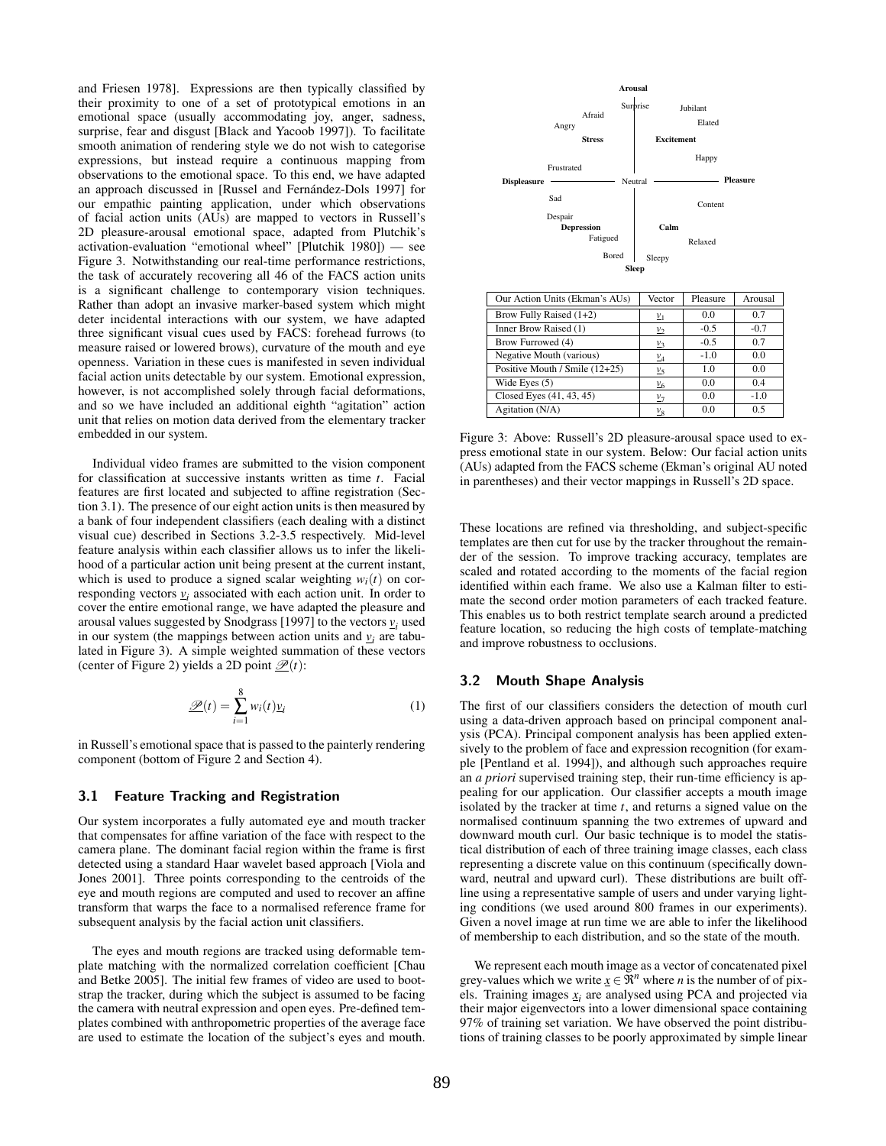and Friesen 1978]. Expressions are then typically classified by their proximity to one of a set of prototypical emotions in an emotional space (usually accommodating joy, anger, sadness, surprise, fear and disgust [Black and Yacoob 1997]). To facilitate smooth animation of rendering style we do not wish to categorise expressions, but instead require a continuous mapping from observations to the emotional space. To this end, we have adapted an approach discussed in [Russel and Fernández-Dols 1997] for our empathic painting application, under which observations of facial action units (AUs) are mapped to vectors in Russell's 2D pleasure-arousal emotional space, adapted from Plutchik's activation-evaluation "emotional wheel" [Plutchik 1980]) — see Figure 3. Notwithstanding our real-time performance restrictions, the task of accurately recovering all 46 of the FACS action units is a significant challenge to contemporary vision techniques. Rather than adopt an invasive marker-based system which might deter incidental interactions with our system, we have adapted three significant visual cues used by FACS: forehead furrows (to measure raised or lowered brows), curvature of the mouth and eye openness. Variation in these cues is manifested in seven individual facial action units detectable by our system. Emotional expression, however, is not accomplished solely through facial deformations, and so we have included an additional eighth "agitation" action unit that relies on motion data derived from the elementary tracker embedded in our system.

Individual video frames are submitted to the vision component for classification at successive instants written as time *t*. Facial features are first located and subjected to affine registration (Section 3.1). The presence of our eight action units is then measured by a bank of four independent classifiers (each dealing with a distinct visual cue) described in Sections 3.2-3.5 respectively. Mid-level feature analysis within each classifier allows us to infer the likelihood of a particular action unit being present at the current instant, which is used to produce a signed scalar weighting  $w_i(t)$  on corresponding vectors  $y_i$  associated with each action unit. In order to cover the entire emotional range, we have adapted the pleasure and arousal values suggested by Snodgrass [1997] to the vectors  $v_i$  used in our system (the mappings between action units and  $v_i$  are tabulated in Figure 3). A simple weighted summation of these vectors (center of Figure 2) yields a 2D point  $\mathcal{D}(t)$ :

$$
\underline{\mathscr{P}}(t) = \sum_{i=1}^{8} w_i(t) \underline{v}_i \tag{1}
$$

in Russell's emotional space that is passed to the painterly rendering component (bottom of Figure 2 and Section 4).

#### 3.1 Feature Tracking and Registration

Our system incorporates a fully automated eye and mouth tracker that compensates for affine variation of the face with respect to the camera plane. The dominant facial region within the frame is first detected using a standard Haar wavelet based approach [Viola and Jones 2001]. Three points corresponding to the centroids of the eye and mouth regions are computed and used to recover an affine transform that warps the face to a normalised reference frame for subsequent analysis by the facial action unit classifiers.

The eyes and mouth regions are tracked using deformable template matching with the normalized correlation coefficient [Chau and Betke 2005]. The initial few frames of video are used to bootstrap the tracker, during which the subject is assumed to be facing the camera with neutral expression and open eyes. Pre-defined templates combined with anthropometric properties of the average face are used to estimate the location of the subject's eyes and mouth.



| Our Action Units (Ekman's AUs) | vector            | Pleasure | Arousal |
|--------------------------------|-------------------|----------|---------|
| Brow Fully Raised (1+2)        | $\underline{v}_1$ | 0.0      | 0.7     |
| Inner Brow Raised (1)          | $\mathcal{V}_2$   | $-0.5$   | $-0.7$  |
| Brow Furrowed (4)              | $\mathcal{V}_3$   | $-0.5$   | 0.7     |
| Negative Mouth (various)       | $v_4$             | $-1.0$   | 0.0     |
| Positive Mouth / Smile (12+25) | $\frac{v}{5}$     | 1.0      | 0.0     |
| Wide Eyes $(5)$                | $\frac{V}{6}$     | 0.0      | 0.4     |
| Closed Eyes $(41, 43, 45)$     | $\underline{v}_7$ | 0.0      | $-1.0$  |
| Agitation (N/A)                | $\frac{v_8}{v_8}$ | 0.0      | 0.5     |

Figure 3: Above: Russell's 2D pleasure-arousal space used to express emotional state in our system. Below: Our facial action units (AUs) adapted from the FACS scheme (Ekman's original AU noted in parentheses) and their vector mappings in Russell's 2D space.

These locations are refined via thresholding, and subject-specific templates are then cut for use by the tracker throughout the remainder of the session. To improve tracking accuracy, templates are scaled and rotated according to the moments of the facial region identified within each frame. We also use a Kalman filter to estimate the second order motion parameters of each tracked feature. This enables us to both restrict template search around a predicted feature location, so reducing the high costs of template-matching and improve robustness to occlusions.

#### 3.2 Mouth Shape Analysis

The first of our classifiers considers the detection of mouth curl using a data-driven approach based on principal component analysis (PCA). Principal component analysis has been applied extensively to the problem of face and expression recognition (for example [Pentland et al. 1994]), and although such approaches require an *a priori* supervised training step, their run-time efficiency is appealing for our application. Our classifier accepts a mouth image isolated by the tracker at time *t*, and returns a signed value on the normalised continuum spanning the two extremes of upward and downward mouth curl. Our basic technique is to model the statistical distribution of each of three training image classes, each class representing a discrete value on this continuum (specifically downward, neutral and upward curl). These distributions are built offline using a representative sample of users and under varying lighting conditions (we used around 800 frames in our experiments). Given a novel image at run time we are able to infer the likelihood of membership to each distribution, and so the state of the mouth.

We represent each mouth image as a vector of concatenated pixel grey-values which we write  $\underline{x} \in \mathbb{R}^n$  where *n* is the number of of pixels. Training images  $x_i$  are analysed using PCA and projected via their major eigenvectors into a lower dimensional space containing 97% of training set variation. We have observed the point distributions of training classes to be poorly approximated by simple linear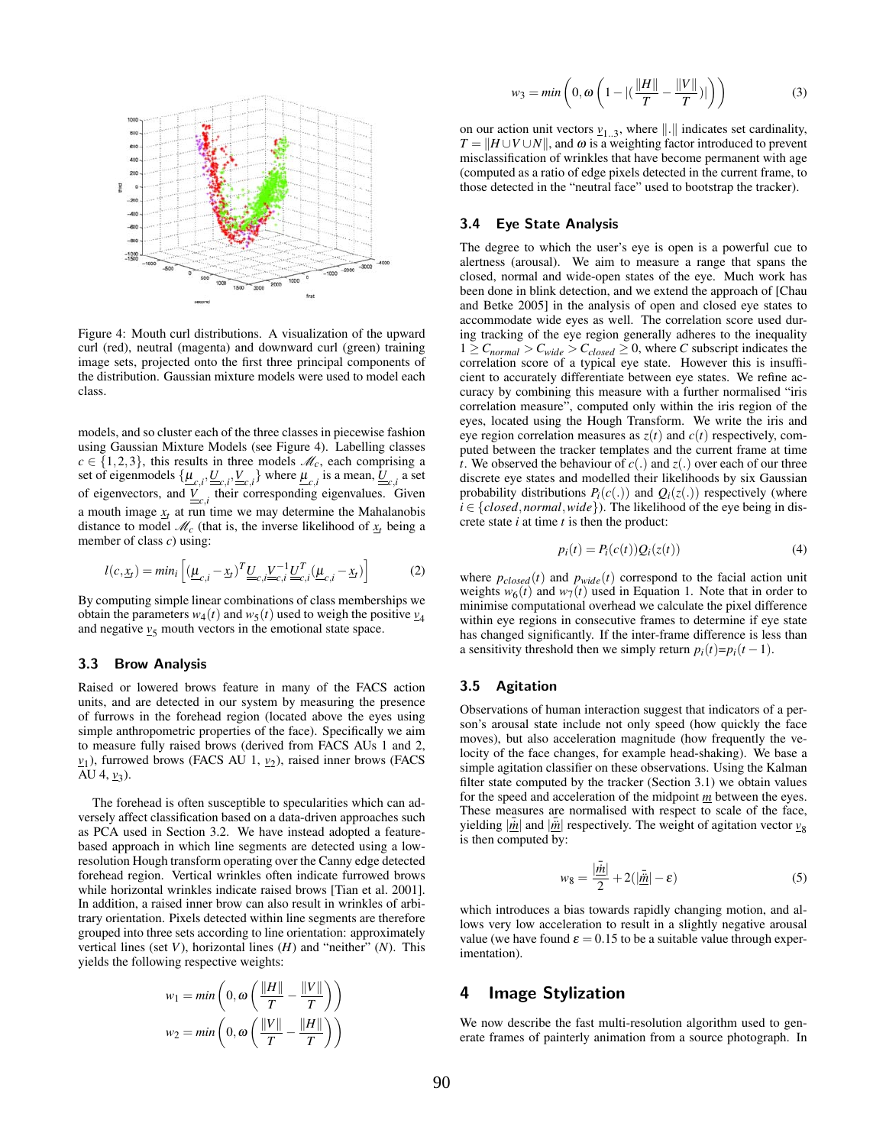

Figure 4: Mouth curl distributions. A visualization of the upward curl (red), neutral (magenta) and downward curl (green) training image sets, projected onto the first three principal components of the distribution. Gaussian mixture models were used to model each class.

models, and so cluster each of the three classes in piecewise fashion using Gaussian Mixture Models (see Figure 4). Labelling classes  $c \in \{1,2,3\}$ , this results in three models  $\mathcal{M}_c$ , each comprising a set of eigenmodels  $\{\underline{\mu}_{c,i}, \underline{U}_{c,i}, \underline{V}_{c,i}\}$  where  $\underline{\mu}_{c,i}$  is a mean,  $\underline{U}_{c,i}$  a set of eigenvectors, and  $\underline{V}_{c,i}$  their corresponding eigenvalues. Given a mouth image  $x_t$  at run time we may determine the Mahalanobis distance to model  $\mathcal{M}_c$  (that is, the inverse likelihood of  $\mathbf{x}_t$  being a member of class *c*) using:

$$
l(c, \underline{x}_t) = min_i \left[ (\underline{\mu}_{c,i} - \underline{x}_t)^T \underline{U}_{c,i} \underline{V}_{c,i}^{-1} \underline{U}_{c,i}^T (\underline{\mu}_{c,i} - \underline{x}_t) \right]
$$
(2)

By computing simple linear combinations of class memberships we obtain the parameters  $w_4(t)$  and  $w_5(t)$  used to weigh the positive  $v_4$ and negative  $v_5$  mouth vectors in the emotional state space.

#### 3.3 Brow Analysis

Raised or lowered brows feature in many of the FACS action units, and are detected in our system by measuring the presence of furrows in the forehead region (located above the eyes using simple anthropometric properties of the face). Specifically we aim to measure fully raised brows (derived from FACS AUs 1 and 2,  $v_1$ ), furrowed brows (FACS AU 1,  $v_2$ ), raised inner brows (FACS AU 4, <u>v</u><sub>3</sub>).

The forehead is often susceptible to specularities which can adversely affect classification based on a data-driven approaches such as PCA used in Section 3.2. We have instead adopted a featurebased approach in which line segments are detected using a lowresolution Hough transform operating over the Canny edge detected forehead region. Vertical wrinkles often indicate furrowed brows while horizontal wrinkles indicate raised brows [Tian et al. 2001]. In addition, a raised inner brow can also result in wrinkles of arbitrary orientation. Pixels detected within line segments are therefore grouped into three sets according to line orientation: approximately vertical lines (set *V*), horizontal lines (*H*) and "neither" (*N*). This yields the following respective weights:

$$
w_1 = \min\left(0, \omega\left(\frac{\|H\|}{T} - \frac{\|V\|}{T}\right)\right)
$$

$$
w_2 = \min\left(0, \omega\left(\frac{\|V\|}{T} - \frac{\|H\|}{T}\right)\right)
$$

$$
w_3 = \min\left(0, \omega \left(1 - |(\frac{\|H\|}{T} - \frac{\|V\|}{T})|\right)\right) \tag{3}
$$

on our action unit vectors  $v_{1..3}$ , where  $\|\cdot\|$  indicates set cardinality,  $T = ||H \cup V \cup N||$ , and  $\omega$  is a weighting factor introduced to prevent misclassification of wrinkles that have become permanent with age (computed as a ratio of edge pixels detected in the current frame, to those detected in the "neutral face" used to bootstrap the tracker).

#### 3.4 Eye State Analysis

The degree to which the user's eye is open is a powerful cue to alertness (arousal). We aim to measure a range that spans the closed, normal and wide-open states of the eye. Much work has been done in blink detection, and we extend the approach of [Chau and Betke 2005] in the analysis of open and closed eye states to accommodate wide eyes as well. The correlation score used during tracking of the eye region generally adheres to the inequality  $1 \geq C_{normal} > C_{wide} \geq 0$ , where *C* subscript indicates the correlation score of a typical eye state. However this is insufficient to accurately differentiate between eye states. We refine accuracy by combining this measure with a further normalised "iris correlation measure", computed only within the iris region of the eyes, located using the Hough Transform. We write the iris and eye region correlation measures as  $z(t)$  and  $c(t)$  respectively, computed between the tracker templates and the current frame at time *t*. We observed the behaviour of *c*(.) and *z*(.) over each of our three discrete eye states and modelled their likelihoods by six Gaussian probability distributions  $P_i(c(.))$  and  $Q_i(z(.))$  respectively (where  $i \in \{closed, normal, wide\}$ ). The likelihood of the eye being in discrete state *i* at time *t* is then the product:

$$
p_i(t) = P_i(c(t))Q_i(z(t))
$$
\n(4)

where  $p_{closed}(t)$  and  $p_{wide}(t)$  correspond to the facial action unit weights  $w_6(t)$  and  $w_7(t)$  used in Equation 1. Note that in order to minimise computational overhead we calculate the pixel difference within eye regions in consecutive frames to determine if eye state has changed significantly. If the inter-frame difference is less than a sensitivity threshold then we simply return  $p_i(t)=p_i(t-1)$ .

#### 3.5 Agitation

Observations of human interaction suggest that indicators of a person's arousal state include not only speed (how quickly the face moves), but also acceleration magnitude (how frequently the velocity of the face changes, for example head-shaking). We base a simple agitation classifier on these observations. Using the Kalman filter state computed by the tracker (Section 3.1) we obtain values for the speed and acceleration of the midpoint *m* between the eyes. These measures are normalised with respect to scale of the face, yielding  $|\vec{m}|$  and  $|\vec{m}|$  respectively. The weight of agitation vector  $v_8$ is then computed by:

$$
w_8 = \frac{|\bar{\dot{m}}|}{2} + 2(|\bar{\dot{m}}| - \varepsilon)
$$
\n(5)

which introduces a bias towards rapidly changing motion, and allows very low acceleration to result in a slightly negative arousal value (we have found  $\epsilon = 0.15$  to be a suitable value through experimentation).

## 4 Image Stylization

We now describe the fast multi-resolution algorithm used to generate frames of painterly animation from a source photograph. In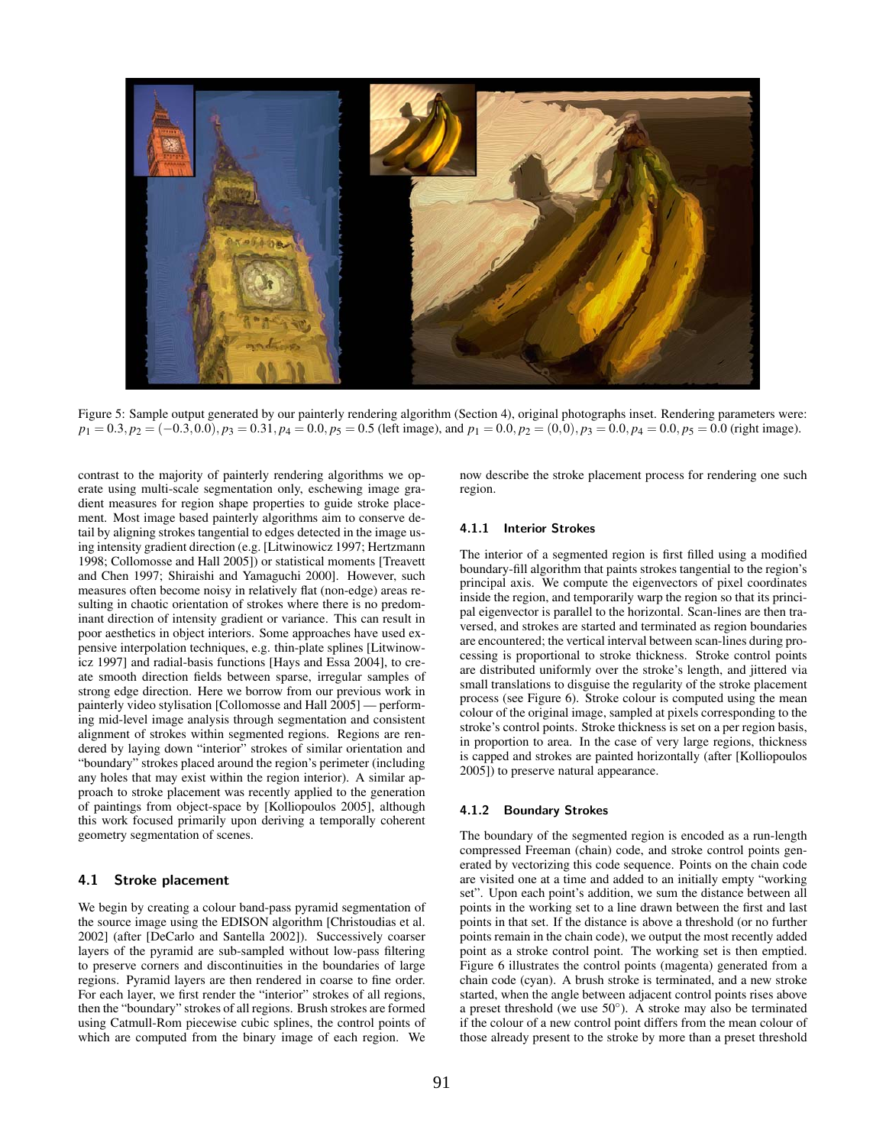

Figure 5: Sample output generated by our painterly rendering algorithm (Section 4), original photographs inset. Rendering parameters were:  $p_1 = 0.3, p_2 = (-0.3, 0.0), p_3 = 0.31, p_4 = 0.0, p_5 = 0.5$  (left image), and  $p_1 = 0.0, p_2 = (0, 0), p_3 = 0.0, p_4 = 0.0, p_5 = 0.0$  (right image).

contrast to the majority of painterly rendering algorithms we operate using multi-scale segmentation only, eschewing image gradient measures for region shape properties to guide stroke placement. Most image based painterly algorithms aim to conserve detail by aligning strokes tangential to edges detected in the image using intensity gradient direction (e.g. [Litwinowicz 1997; Hertzmann 1998; Collomosse and Hall 2005]) or statistical moments [Treavett and Chen 1997; Shiraishi and Yamaguchi 2000]. However, such measures often become noisy in relatively flat (non-edge) areas resulting in chaotic orientation of strokes where there is no predominant direction of intensity gradient or variance. This can result in poor aesthetics in object interiors. Some approaches have used expensive interpolation techniques, e.g. thin-plate splines [Litwinowicz 1997] and radial-basis functions [Hays and Essa 2004], to create smooth direction fields between sparse, irregular samples of strong edge direction. Here we borrow from our previous work in painterly video stylisation [Collomosse and Hall 2005] — performing mid-level image analysis through segmentation and consistent alignment of strokes within segmented regions. Regions are rendered by laying down "interior" strokes of similar orientation and "boundary" strokes placed around the region's perimeter (including any holes that may exist within the region interior). A similar approach to stroke placement was recently applied to the generation of paintings from object-space by [Kolliopoulos 2005], although this work focused primarily upon deriving a temporally coherent geometry segmentation of scenes.

#### 4.1 Stroke placement

We begin by creating a colour band-pass pyramid segmentation of the source image using the EDISON algorithm [Christoudias et al. 2002] (after [DeCarlo and Santella 2002]). Successively coarser layers of the pyramid are sub-sampled without low-pass filtering to preserve corners and discontinuities in the boundaries of large regions. Pyramid layers are then rendered in coarse to fine order. For each layer, we first render the "interior" strokes of all regions, then the "boundary" strokes of all regions. Brush strokes are formed using Catmull-Rom piecewise cubic splines, the control points of which are computed from the binary image of each region. We now describe the stroke placement process for rendering one such region.

#### 4.1.1 Interior Strokes

The interior of a segmented region is first filled using a modified boundary-fill algorithm that paints strokes tangential to the region's principal axis. We compute the eigenvectors of pixel coordinates inside the region, and temporarily warp the region so that its principal eigenvector is parallel to the horizontal. Scan-lines are then traversed, and strokes are started and terminated as region boundaries are encountered; the vertical interval between scan-lines during processing is proportional to stroke thickness. Stroke control points are distributed uniformly over the stroke's length, and jittered via small translations to disguise the regularity of the stroke placement process (see Figure 6). Stroke colour is computed using the mean colour of the original image, sampled at pixels corresponding to the stroke's control points. Stroke thickness is set on a per region basis, in proportion to area. In the case of very large regions, thickness is capped and strokes are painted horizontally (after [Kolliopoulos 2005]) to preserve natural appearance.

#### 4.1.2 Boundary Strokes

The boundary of the segmented region is encoded as a run-length compressed Freeman (chain) code, and stroke control points generated by vectorizing this code sequence. Points on the chain code are visited one at a time and added to an initially empty "working set". Upon each point's addition, we sum the distance between all points in the working set to a line drawn between the first and last points in that set. If the distance is above a threshold (or no further points remain in the chain code), we output the most recently added point as a stroke control point. The working set is then emptied. Figure 6 illustrates the control points (magenta) generated from a chain code (cyan). A brush stroke is terminated, and a new stroke started, when the angle between adjacent control points rises above a preset threshold (we use  $50^{\circ}$ ). A stroke may also be terminated if the colour of a new control point differs from the mean colour of those already present to the stroke by more than a preset threshold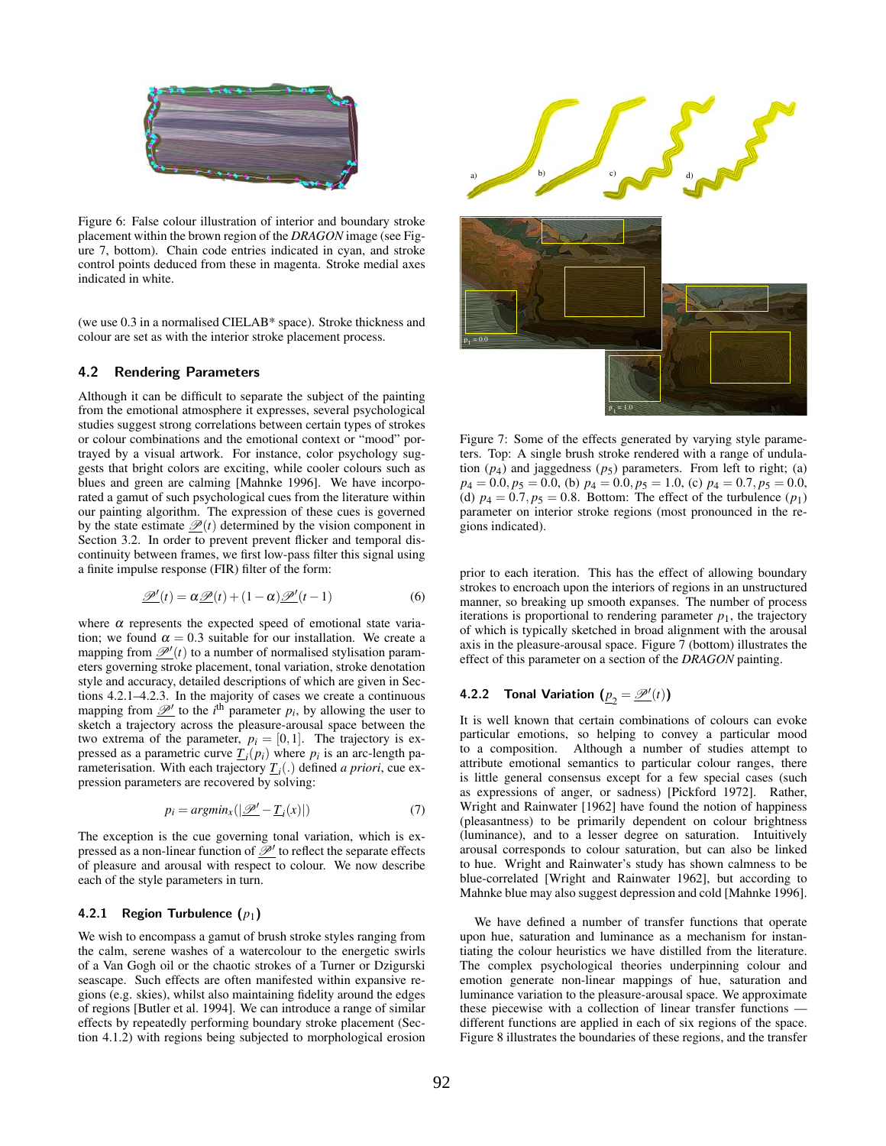

Figure 6: False colour illustration of interior and boundary stroke placement within the brown region of the *DRAGON* image (see Figure 7, bottom). Chain code entries indicated in cyan, and stroke control points deduced from these in magenta. Stroke medial axes indicated in white.

(we use 0.3 in a normalised CIELAB\* space). Stroke thickness and colour are set as with the interior stroke placement process.

#### 4.2 Rendering Parameters

Although it can be difficult to separate the subject of the painting from the emotional atmosphere it expresses, several psychological studies suggest strong correlations between certain types of strokes or colour combinations and the emotional context or "mood" portrayed by a visual artwork. For instance, color psychology suggests that bright colors are exciting, while cooler colours such as blues and green are calming [Mahnke 1996]. We have incorporated a gamut of such psychological cues from the literature within our painting algorithm. The expression of these cues is governed by the state estimate  $\mathcal{P}(t)$  determined by the vision component in Section 3.2. In order to prevent prevent flicker and temporal discontinuity between frames, we first low-pass filter this signal using a finite impulse response (FIR) filter of the form:

$$
\underline{\mathscr{P}}'(t) = \alpha \underline{\mathscr{P}}(t) + (1 - \alpha) \underline{\mathscr{P}}'(t - 1)
$$
\n(6)

where  $\alpha$  represents the expected speed of emotional state variation; we found  $\alpha = 0.3$  suitable for our installation. We create a mapping from  $\mathcal{P}'(t)$  to a number of normalised stylisation parameters governing stroke placement, tonal variation, stroke denotation style and accuracy, detailed descriptions of which are given in Sections 4.2.1–4.2.3. In the majority of cases we create a continuous mapping from  $\mathcal{P}'$  to the *i*<sup>th</sup> parameter  $p_i$ , by allowing the user to sketch a trajectory across the pleasure-arousal space between the two extrema of the parameter,  $p_i = [0,1]$ . The trajectory is expressed as a parametric curve  $\underline{T}_i(p_i)$  where  $p_i$  is an arc-length parameterisation. With each trajectory  $\underline{T}_i(.)$  defined *a priori*, cue expression parameters are recovered by solving:

$$
p_i = \operatorname{argmin}_x(|\underline{\mathscr{P}}' - \underline{T}_i(x)|) \tag{7}
$$

The exception is the cue governing tonal variation, which is expressed as a non-linear function of  $\mathcal{L}'$  to reflect the separate effects of pleasure and arousal with respect to colour. We now describe each of the style parameters in turn.

#### 4.2.1 Region Turbulence ( $p_1$ )

We wish to encompass a gamut of brush stroke styles ranging from the calm, serene washes of a watercolour to the energetic swirls of a Van Gogh oil or the chaotic strokes of a Turner or Dzigurski seascape. Such effects are often manifested within expansive regions (e.g. skies), whilst also maintaining fidelity around the edges of regions [Butler et al. 1994]. We can introduce a range of similar effects by repeatedly performing boundary stroke placement (Sec-



Figure 7: Some of the effects generated by varying style parameters. Top: A single brush stroke rendered with a range of undulation  $(p_4)$  and jaggedness  $(p_5)$  parameters. From left to right; (a)  $p_4 = 0.0, p_5 = 0.0$ , (b)  $p_4 = 0.0, p_5 = 1.0$ , (c)  $p_4 = 0.7, p_5 = 0.0$ , (d)  $p_4 = 0.7$ ,  $p_5 = 0.8$ . Bottom: The effect of the turbulence  $(p_1)$ parameter on interior stroke regions (most pronounced in the regions indicated).

prior to each iteration. This has the effect of allowing boundary strokes to encroach upon the interiors of regions in an unstructured manner, so breaking up smooth expanses. The number of process iterations is proportional to rendering parameter  $p_1$ , the trajectory of which is typically sketched in broad alignment with the arousal axis in the pleasure-arousal space. Figure 7 (bottom) illustrates the effect of this parameter on a section of the *DRAGON* painting.

## **4.2.2** Tonal Variation  $(\underline{p}_2 = \underline{\mathscr{P}}'(t))$

It is well known that certain combinations of colours can evoke particular emotions, so helping to convey a particular mood to a composition. Although a number of studies attempt to attribute emotional semantics to particular colour ranges, there is little general consensus except for a few special cases (such as expressions of anger, or sadness) [Pickford 1972]. Rather, Wright and Rainwater [1962] have found the notion of happiness (pleasantness) to be primarily dependent on colour brightness (luminance), and to a lesser degree on saturation. Intuitively arousal corresponds to colour saturation, but can also be linked to hue. Wright and Rainwater's study has shown calmness to be blue-correlated [Wright and Rainwater 1962], but according to Mahnke blue may also suggest depression and cold [Mahnke 1996].

We have defined a number of transfer functions that operate upon hue, saturation and luminance as a mechanism for instantiating the colour heuristics we have distilled from the literature. The complex psychological theories underpinning colour and emotion generate non-linear mappings of hue, saturation and luminance variation to the pleasure-arousal space. We approximate these piecewise with a collection of linear transfer functions different functions are applied in each of six regions of the space. Figure 8 illustrates the boundaries of these regions, and the transfer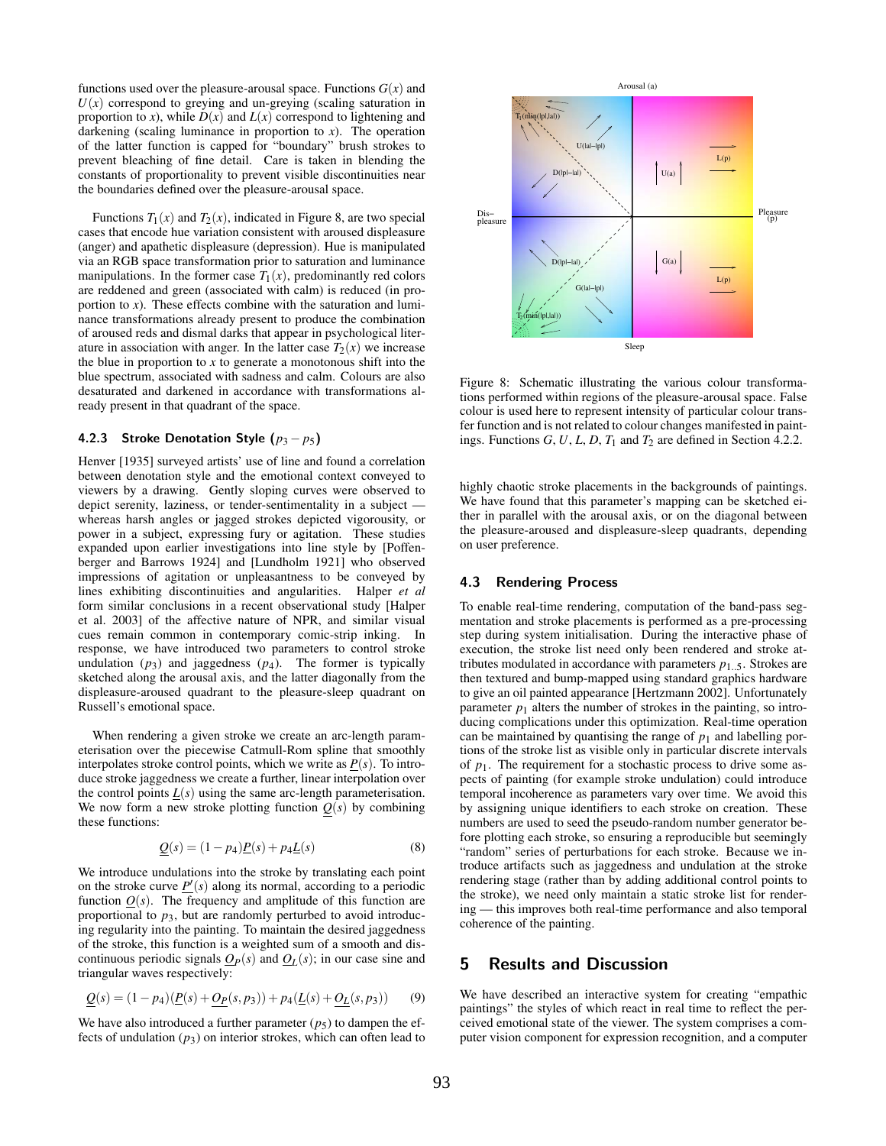functions used over the pleasure-arousal space. Functions  $G(x)$  and  $U(x)$  correspond to greying and un-greying (scaling saturation in proportion to *x*), while  $D(x)$  and  $L(x)$  correspond to lightening and darkening (scaling luminance in proportion to *x*). The operation of the latter function is capped for "boundary" brush strokes to prevent bleaching of fine detail. Care is taken in blending the constants of proportionality to prevent visible discontinuities near the boundaries defined over the pleasure-arousal space.

Functions  $T_1(x)$  and  $T_2(x)$ , indicated in Figure 8, are two special cases that encode hue variation consistent with aroused displeasure (anger) and apathetic displeasure (depression). Hue is manipulated via an RGB space transformation prior to saturation and luminance manipulations. In the former case  $T_1(x)$ , predominantly red colors are reddened and green (associated with calm) is reduced (in proportion to *x*). These effects combine with the saturation and luminance transformations already present to produce the combination of aroused reds and dismal darks that appear in psychological literature in association with anger. In the latter case  $T_2(x)$  we increase the blue in proportion to  $x$  to generate a monotonous shift into the blue spectrum, associated with sadness and calm. Colours are also desaturated and darkened in accordance with transformations already present in that quadrant of the space.

#### 4.2.3 Stroke Denotation Style  $(p_3 - p_5)$

Henver [1935] surveyed artists' use of line and found a correlation between denotation style and the emotional context conveyed to viewers by a drawing. Gently sloping curves were observed to depict serenity, laziness, or tender-sentimentality in a subject whereas harsh angles or jagged strokes depicted vigorousity, or power in a subject, expressing fury or agitation. These studies expanded upon earlier investigations into line style by [Poffenberger and Barrows 1924] and [Lundholm 1921] who observed impressions of agitation or unpleasantness to be conveyed by lines exhibiting discontinuities and angularities. Halper *et al* form similar conclusions in a recent observational study [Halper et al. 2003] of the affective nature of NPR, and similar visual cues remain common in contemporary comic-strip inking. In response, we have introduced two parameters to control stroke undulation  $(p_3)$  and jaggedness  $(p_4)$ . The former is typically sketched along the arousal axis, and the latter diagonally from the displeasure-aroused quadrant to the pleasure-sleep quadrant on Russell's emotional space.

When rendering a given stroke we create an arc-length parameterisation over the piecewise Catmull-Rom spline that smoothly interpolates stroke control points, which we write as  $P(s)$ . To introduce stroke jaggedness we create a further, linear interpolation over the control points  $L(s)$  using the same arc-length parameterisation. We now form a new stroke plotting function  $Q(s)$  by combining these functions:

$$
\underline{Q}(s) = (1 - p_4)\underline{P}(s) + p_4\underline{L}(s)
$$
\n(8)

We introduce undulations into the stroke by translating each point on the stroke curve  $\underline{P}'(s)$  along its normal, according to a periodic function  $Q(s)$ . The frequency and amplitude of this function are proportional to  $p_3$ , but are randomly perturbed to avoid introducing regularity into the painting. To maintain the desired jaggedness of the stroke, this function is a weighted sum of a smooth and discontinuous periodic signals  $Q_P(s)$  and  $Q_L(s)$ ; in our case sine and triangular waves respectively:

$$
\underline{Q}(s) = (1 - p_4)(\underline{P}(s) + \underline{O_P}(s, p_3)) + p_4(\underline{L}(s) + \underline{O_L}(s, p_3))
$$
(9)

We have also introduced a further parameter  $(p_5)$  to dampen the effects of undulation  $(p_3)$  on interior strokes, which can often lead to



Figure 8: Schematic illustrating the various colour transformations performed within regions of the pleasure-arousal space. False colour is used here to represent intensity of particular colour transfer function and is not related to colour changes manifested in paintings. Functions  $G$ ,  $U$ ,  $L$ ,  $D$ ,  $T_1$  and  $T_2$  are defined in Section 4.2.2.

highly chaotic stroke placements in the backgrounds of paintings. We have found that this parameter's mapping can be sketched either in parallel with the arousal axis, or on the diagonal between the pleasure-aroused and displeasure-sleep quadrants, depending on user preference.

#### 4.3 Rendering Process

To enable real-time rendering, computation of the band-pass segmentation and stroke placements is performed as a pre-processing step during system initialisation. During the interactive phase of execution, the stroke list need only been rendered and stroke attributes modulated in accordance with parameters  $p_1$ . 5. Strokes are then textured and bump-mapped using standard graphics hardware to give an oil painted appearance [Hertzmann 2002]. Unfortunately parameter  $p_1$  alters the number of strokes in the painting, so introducing complications under this optimization. Real-time operation can be maintained by quantising the range of  $p_1$  and labelling portions of the stroke list as visible only in particular discrete intervals of  $p_1$ . The requirement for a stochastic process to drive some aspects of painting (for example stroke undulation) could introduce temporal incoherence as parameters vary over time. We avoid this by assigning unique identifiers to each stroke on creation. These numbers are used to seed the pseudo-random number generator before plotting each stroke, so ensuring a reproducible but seemingly "random" series of perturbations for each stroke. Because we introduce artifacts such as jaggedness and undulation at the stroke rendering stage (rather than by adding additional control points to the stroke), we need only maintain a static stroke list for rendering — this improves both real-time performance and also temporal coherence of the painting.

#### 5 Results and Discussion

We have described an interactive system for creating "empathic paintings" the styles of which react in real time to reflect the perceived emotional state of the viewer. The system comprises a computer vision component for expression recognition, and a computer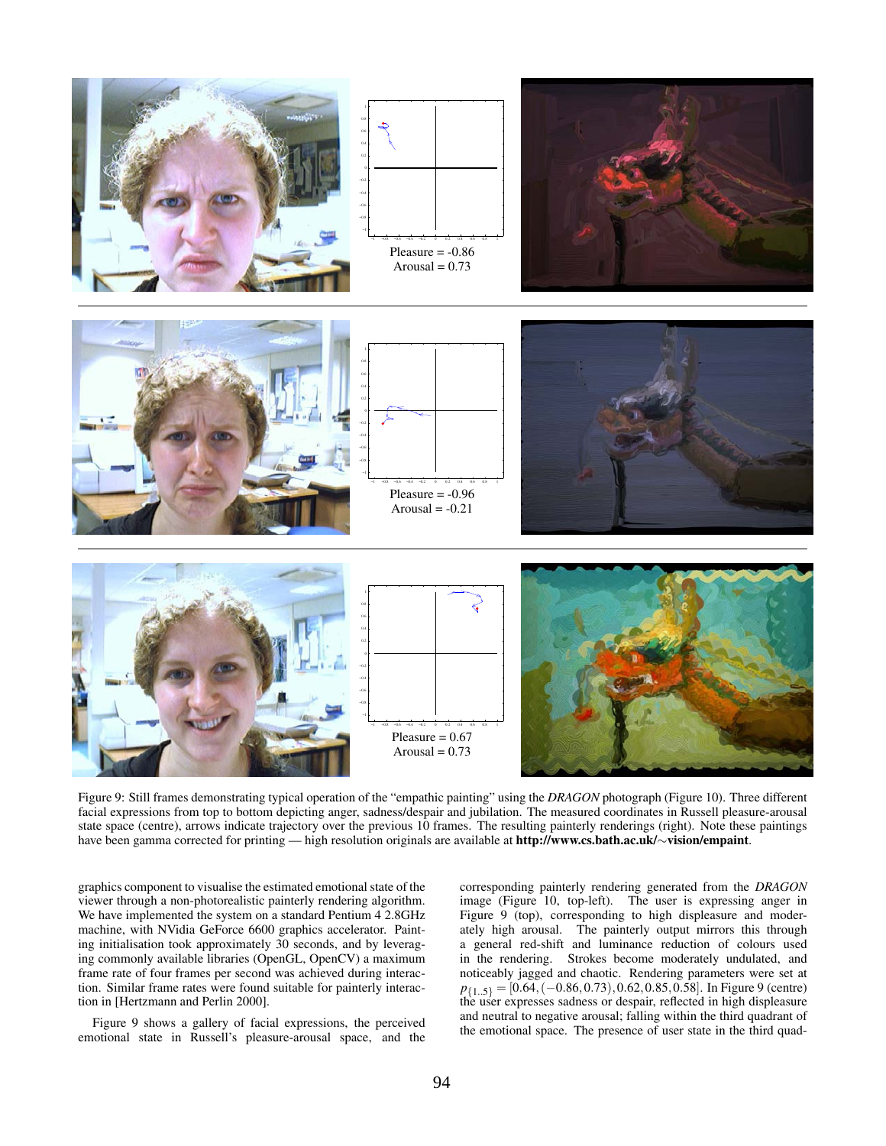

Figure 9: Still frames demonstrating typical operation of the "empathic painting" using the *DRAGON* photograph (Figure 10). Three different facial expressions from top to bottom depicting anger, sadness/despair and jubilation. The measured coordinates in Russell pleasure-arousal state space (centre), arrows indicate trajectory over the previous 10 frames. The resulting painterly renderings (right). Note these paintings have been gamma corrected for printing — high resolution originals are available at http://www.cs.bath.ac.uk/∼vision/empaint.

graphics component to visualise the estimated emotional state of the viewer through a non-photorealistic painterly rendering algorithm. We have implemented the system on a standard Pentium 4 2.8GHz machine, with NVidia GeForce 6600 graphics accelerator. Painting initialisation took approximately 30 seconds, and by leveraging commonly available libraries (OpenGL, OpenCV) a maximum frame rate of four frames per second was achieved during interaction. Similar frame rates were found suitable for painterly interaction in [Hertzmann and Perlin 2000].

Figure 9 shows a gallery of facial expressions, the perceived emotional state in Russell's pleasure-arousal space, and the corresponding painterly rendering generated from the *DRAGON* image (Figure 10, top-left). The user is expressing anger in Figure 9 (top), corresponding to high displeasure and moderately high arousal. The painterly output mirrors this through a general red-shift and luminance reduction of colours used in the rendering. Strokes become moderately undulated, and noticeably jagged and chaotic. Rendering parameters were set at  $p_{\{1..5\}} = [0.64, (-0.86, 0.73), 0.62, 0.85, 0.58]$ . In Figure 9 (centre) the user expresses sadness or despair, reflected in high displeasure and neutral to negative arousal; falling within the third quadrant of the emotional space. The presence of user state in the third quad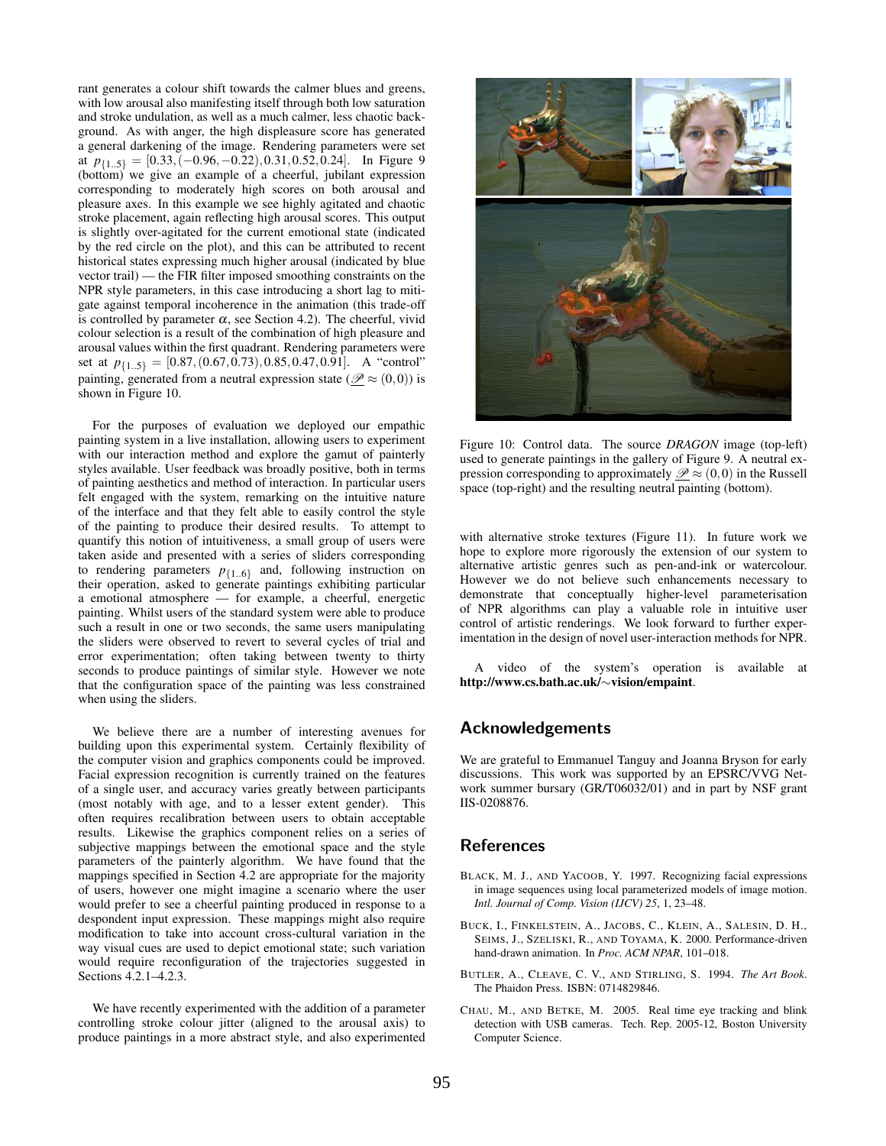rant generates a colour shift towards the calmer blues and greens, with low arousal also manifesting itself through both low saturation and stroke undulation, as well as a much calmer, less chaotic background. As with anger, the high displeasure score has generated a general darkening of the image. Rendering parameters were set at  $p_{\{1,5\}} = [0.33, (-0.96, -0.22), 0.31, 0.52, 0.24]$ . In Figure 9 (bottom) we give an example of a cheerful, jubilant expression corresponding to moderately high scores on both arousal and pleasure axes. In this example we see highly agitated and chaotic stroke placement, again reflecting high arousal scores. This output is slightly over-agitated for the current emotional state (indicated by the red circle on the plot), and this can be attributed to recent historical states expressing much higher arousal (indicated by blue vector trail) — the FIR filter imposed smoothing constraints on the NPR style parameters, in this case introducing a short lag to mitigate against temporal incoherence in the animation (this trade-off is controlled by parameter  $\alpha$ , see Section 4.2). The cheerful, vivid colour selection is a result of the combination of high pleasure and arousal values within the first quadrant. Rendering parameters were set at  $p_{\{1..5\}} = [0.87, (0.67, 0.73), 0.85, 0.47, 0.91]$ . A "control" painting, generated from a neutral expression state ( $\mathscr{P} \approx (0,0)$ ) is shown in Figure 10.

For the purposes of evaluation we deployed our empathic painting system in a live installation, allowing users to experiment with our interaction method and explore the gamut of painterly styles available. User feedback was broadly positive, both in terms of painting aesthetics and method of interaction. In particular users felt engaged with the system, remarking on the intuitive nature of the interface and that they felt able to easily control the style of the painting to produce their desired results. To attempt to quantify this notion of intuitiveness, a small group of users were taken aside and presented with a series of sliders corresponding to rendering parameters  $p_{\{1..6\}}$  and, following instruction on their operation, asked to generate paintings exhibiting particular a emotional atmosphere — for example, a cheerful, energetic painting. Whilst users of the standard system were able to produce such a result in one or two seconds, the same users manipulating the sliders were observed to revert to several cycles of trial and error experimentation; often taking between twenty to thirty seconds to produce paintings of similar style. However we note that the configuration space of the painting was less constrained when using the sliders.

We believe there are a number of interesting avenues for building upon this experimental system. Certainly flexibility of the computer vision and graphics components could be improved. Facial expression recognition is currently trained on the features of a single user, and accuracy varies greatly between participants (most notably with age, and to a lesser extent gender). This often requires recalibration between users to obtain acceptable results. Likewise the graphics component relies on a series of subjective mappings between the emotional space and the style parameters of the painterly algorithm. We have found that the mappings specified in Section 4.2 are appropriate for the majority of users, however one might imagine a scenario where the user would prefer to see a cheerful painting produced in response to a despondent input expression. These mappings might also require modification to take into account cross-cultural variation in the way visual cues are used to depict emotional state; such variation would require reconfiguration of the trajectories suggested in Sections 4.2.1–4.2.3.

We have recently experimented with the addition of a parameter controlling stroke colour jitter (aligned to the arousal axis) to produce paintings in a more abstract style, and also experimented



Figure 10: Control data. The source *DRAGON* image (top-left) used to generate paintings in the gallery of Figure 9. A neutral expression corresponding to approximately  $\mathscr{P} \approx (0,0)$  in the Russell space (top-right) and the resulting neutral painting (bottom).

with alternative stroke textures (Figure 11). In future work we hope to explore more rigorously the extension of our system to alternative artistic genres such as pen-and-ink or watercolour. However we do not believe such enhancements necessary to demonstrate that conceptually higher-level parameterisation of NPR algorithms can play a valuable role in intuitive user control of artistic renderings. We look forward to further experimentation in the design of novel user-interaction methods for NPR.

A video of the system's operation is available at http://www.cs.bath.ac.uk/∼vision/empaint.

### Acknowledgements

We are grateful to Emmanuel Tanguy and Joanna Bryson for early discussions. This work was supported by an EPSRC/VVG Network summer bursary (GR/T06032/01) and in part by NSF grant IIS-0208876.

## **References**

- BLACK, M. J., AND YACOOB, Y. 1997. Recognizing facial expressions in image sequences using local parameterized models of image motion. *Intl. Journal of Comp. Vision (IJCV) 25*, 1, 23–48.
- BUCK, I., FINKELSTEIN, A., JACOBS, C., KLEIN, A., SALESIN, D. H., SEIMS, J., SZELISKI, R., AND TOYAMA, K. 2000. Performance-driven hand-drawn animation. In *Proc. ACM NPAR*, 101–018.
- BUTLER, A., CLEAVE, C. V., AND STIRLING, S. 1994. *The Art Book*. The Phaidon Press. ISBN: 0714829846.
- CHAU, M., AND BETKE, M. 2005. Real time eye tracking and blink detection with USB cameras. Tech. Rep. 2005-12, Boston University Computer Science.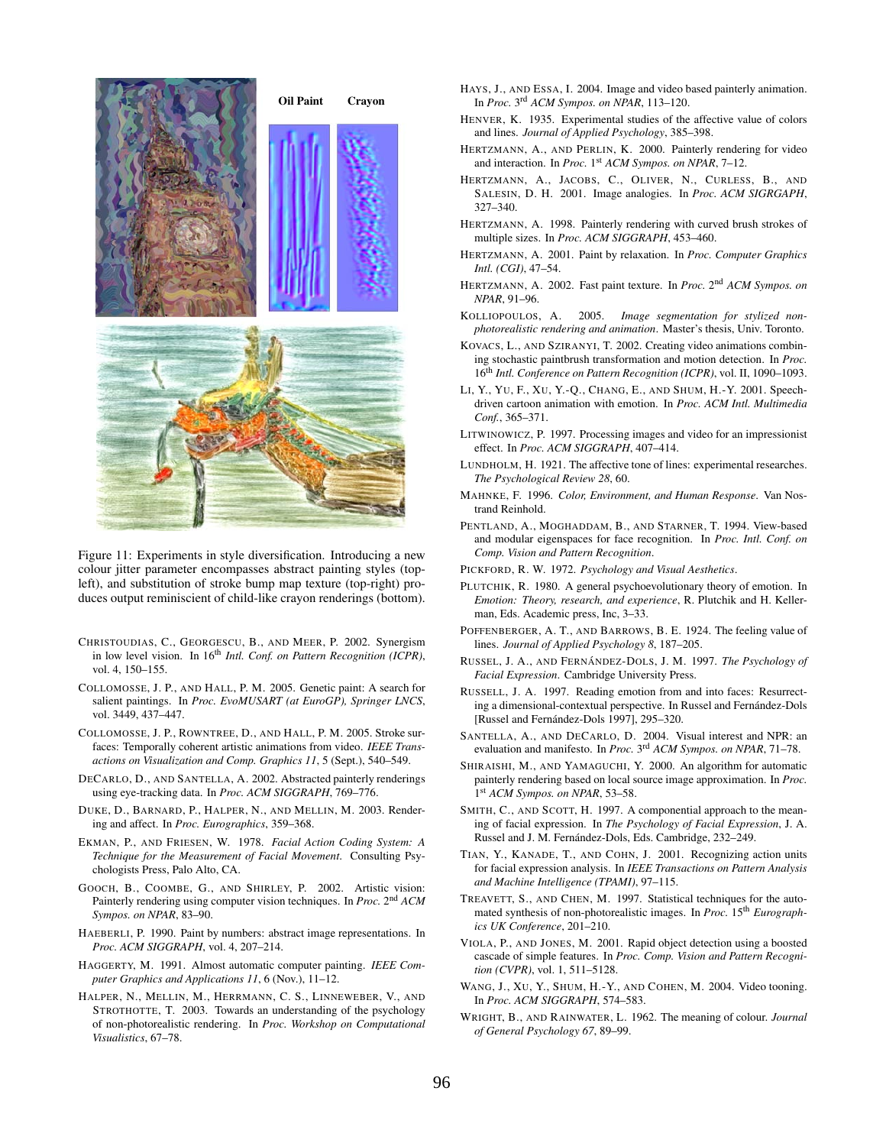

Figure 11: Experiments in style diversification. Introducing a new colour jitter parameter encompasses abstract painting styles (topleft), and substitution of stroke bump map texture (top-right) produces output reminiscient of child-like crayon renderings (bottom).

- CHRISTOUDIAS, C., GEORGESCU, B., AND MEER, P. 2002. Synergism in low level vision. In 16<sup>th</sup> *Intl. Conf. on Pattern Recognition (ICPR)*, vol. 4, 150–155.
- COLLOMOSSE, J. P., AND HALL, P. M. 2005. Genetic paint: A search for salient paintings. In *Proc. EvoMUSART (at EuroGP), Springer LNCS*, vol. 3449, 437–447.
- COLLOMOSSE, J. P., ROWNTREE, D., AND HALL, P. M. 2005. Stroke surfaces: Temporally coherent artistic animations from video. *IEEE Transactions on Visualization and Comp. Graphics 11*, 5 (Sept.), 540–549.
- DECARLO, D., AND SANTELLA, A. 2002. Abstracted painterly renderings using eye-tracking data. In *Proc. ACM SIGGRAPH*, 769–776.
- DUKE, D., BARNARD, P., HALPER, N., AND MELLIN, M. 2003. Rendering and affect. In *Proc. Eurographics*, 359–368.
- EKMAN, P., AND FRIESEN, W. 1978. *Facial Action Coding System: A Technique for the Measurement of Facial Movement*. Consulting Psychologists Press, Palo Alto, CA.
- GOOCH, B., COOMBE, G., AND SHIRLEY, P. 2002. Artistic vision: Painterly rendering using computer vision techniques. In *Proc.* 2<sup>nd</sup> ACM *Sympos. on NPAR*, 83–90.
- HAEBERLI, P. 1990. Paint by numbers: abstract image representations. In *Proc. ACM SIGGRAPH*, vol. 4, 207–214.
- HAGGERTY, M. 1991. Almost automatic computer painting. *IEEE Computer Graphics and Applications 11*, 6 (Nov.), 11–12.
- HALPER, N., MELLIN, M., HERRMANN, C. S., LINNEWEBER, V., AND STROTHOTTE, T. 2003. Towards an understanding of the psychology of non-photorealistic rendering. In *Proc. Workshop on Computational Visualistics*, 67–78.
- HAYS, J., AND ESSA, I. 2004. Image and video based painterly animation. In *Proc.* 3 rd *ACM Sympos. on NPAR*, 113–120.
- HENVER, K. 1935. Experimental studies of the affective value of colors and lines. *Journal of Applied Psychology*, 385–398.
- HERTZMANN, A., AND PERLIN, K. 2000. Painterly rendering for video and interaction. In *Proc.* 1<sup>st</sup> ACM Sympos. on NPAR, 7-12.
- HERTZMANN, A., JACOBS, C., OLIVER, N., CURLESS, B., AND SALESIN, D. H. 2001. Image analogies. In *Proc. ACM SIGRGAPH*, 327–340.
- HERTZMANN, A. 1998. Painterly rendering with curved brush strokes of multiple sizes. In *Proc. ACM SIGGRAPH*, 453–460.
- HERTZMANN, A. 2001. Paint by relaxation. In *Proc. Computer Graphics Intl. (CGI)*, 47–54.
- HERTZMANN, A. 2002. Fast paint texture. In *Proc.* 2 nd *ACM Sympos. on NPAR*, 91–96.
- KOLLIOPOULOS, A. 2005. *Image segmentation for stylized nonphotorealistic rendering and animation*. Master's thesis, Univ. Toronto.
- KOVACS, L., AND SZIRANYI, T. 2002. Creating video animations combining stochastic paintbrush transformation and motion detection. In *Proc.* 16th *Intl. Conference on Pattern Recognition (ICPR)*, vol. II, 1090–1093.
- LI, Y., YU, F., XU, Y.-Q., CHANG, E., AND SHUM, H.-Y. 2001. Speechdriven cartoon animation with emotion. In *Proc. ACM Intl. Multimedia Conf.*, 365–371.
- LITWINOWICZ, P. 1997. Processing images and video for an impressionist effect. In *Proc. ACM SIGGRAPH*, 407–414.
- LUNDHOLM, H. 1921. The affective tone of lines: experimental researches. *The Psychological Review 28*, 60.
- MAHNKE, F. 1996. *Color, Environment, and Human Response*. Van Nostrand Reinhold.
- PENTLAND, A., MOGHADDAM, B., AND STARNER, T. 1994. View-based and modular eigenspaces for face recognition. In *Proc. Intl. Conf. on Comp. Vision and Pattern Recognition*.
- PICKFORD, R. W. 1972. *Psychology and Visual Aesthetics*.
- PLUTCHIK, R. 1980. A general psychoevolutionary theory of emotion. In *Emotion: Theory, research, and experience*, R. Plutchik and H. Kellerman, Eds. Academic press, Inc, 3–33.
- POFFENBERGER, A. T., AND BARROWS, B. E. 1924. The feeling value of lines. *Journal of Applied Psychology 8*, 187–205.
- RUSSEL, J. A., AND FERNÁNDEZ-DOLS, J. M. 1997. *The Psychology of Facial Expression*. Cambridge University Press.
- RUSSELL, J. A. 1997. Reading emotion from and into faces: Resurrecting a dimensional-contextual perspective. In Russel and Fernández-Dols [Russel and Fernández-Dols 1997], 295-320.
- SANTELLA, A., AND DECARLO, D. 2004. Visual interest and NPR: an evaluation and manifesto. In *Proc.* 3 rd *ACM Sympos. on NPAR*, 71–78.
- SHIRAISHI, M., AND YAMAGUCHI, Y. 2000. An algorithm for automatic painterly rendering based on local source image approximation. In *Proc.* 1 st *ACM Sympos. on NPAR*, 53–58.
- SMITH, C., AND SCOTT, H. 1997. A componential approach to the meaning of facial expression. In *The Psychology of Facial Expression*, J. A. Russel and J. M. Fernández-Dols, Eds. Cambridge, 232-249.
- TIAN, Y., KANADE, T., AND COHN, J. 2001. Recognizing action units for facial expression analysis. In *IEEE Transactions on Pattern Analysis and Machine Intelligence (TPAMI)*, 97–115.
- TREAVETT, S., AND CHEN, M. 1997. Statistical techniques for the automated synthesis of non-photorealistic images. In *Proc.* 15<sup>th</sup> *Eurographics UK Conference*, 201–210.
- VIOLA, P., AND JONES, M. 2001. Rapid object detection using a boosted cascade of simple features. In *Proc. Comp. Vision and Pattern Recognition (CVPR)*, vol. 1, 511–5128.
- WANG, J., XU, Y., SHUM, H.-Y., AND COHEN, M. 2004. Video tooning. In *Proc. ACM SIGGRAPH*, 574–583.
- WRIGHT, B., AND RAINWATER, L. 1962. The meaning of colour. *Journal of General Psychology 67*, 89–99.